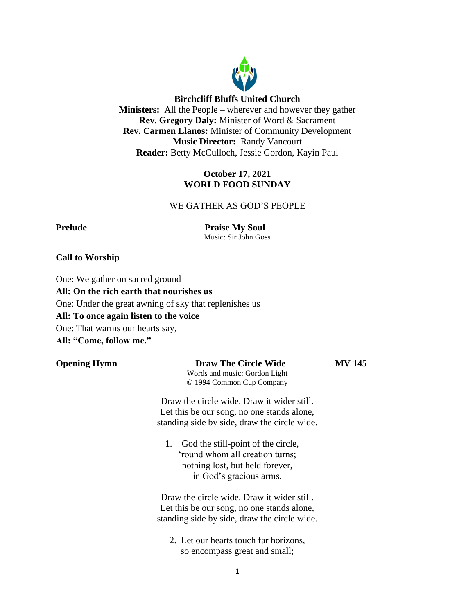

# **Birchcliff Bluffs United Church**

**Ministers:** All the People – wherever and however they gather **Rev. Gregory Daly:** Minister of Word & Sacrament **Rev. Carmen Llanos:** Minister of Community Development **Music Director:** Randy Vancourt **Reader:** Betty McCulloch, Jessie Gordon, Kayin Paul

# **October 17, 2021 WORLD FOOD SUNDAY**

# WE GATHER AS GOD'S PEOPLE

**Prelude Praise My Soul** Music: Sir John Goss

## **Call to Worship**

One: We gather on sacred ground **All: On the rich earth that nourishes us** One: Under the great awning of sky that replenishes us **All: To once again listen to the voice** One: That warms our hearts say, **All: "Come, follow me."**

# **Opening Hymn Draw The Circle Wide MV 145**

Words and music: Gordon Light © 1994 Common Cup Company

Draw the circle wide. Draw it wider still. Let this be our song, no one stands alone, standing side by side, draw the circle wide.

1. God the still-point of the circle, 'round whom all creation turns; nothing lost, but held forever, in God's gracious arms.

Draw the circle wide. Draw it wider still. Let this be our song, no one stands alone, standing side by side, draw the circle wide.

2. Let our hearts touch far horizons, so encompass great and small;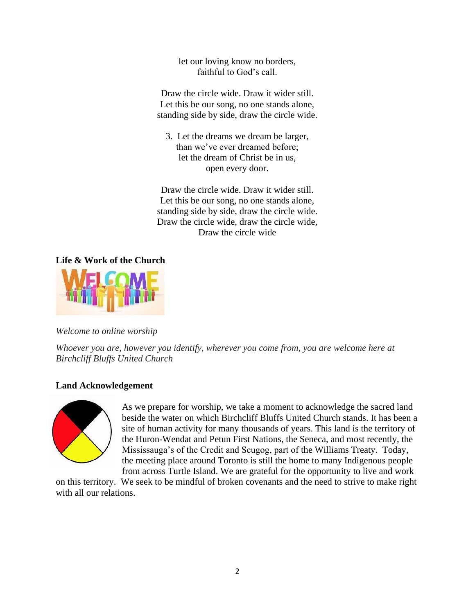let our loving know no borders, faithful to God's call.

Draw the circle wide. Draw it wider still. Let this be our song, no one stands alone, standing side by side, draw the circle wide.

3. Let the dreams we dream be larger, than we've ever dreamed before; let the dream of Christ be in us, open every door.

Draw the circle wide. Draw it wider still. Let this be our song, no one stands alone, standing side by side, draw the circle wide. Draw the circle wide, draw the circle wide, Draw the circle wide

**Life & Work of the Church**



# *Welcome to online worship*

*Whoever you are, however you identify, wherever you come from, you are welcome here at Birchcliff Bluffs United Church*

# **Land Acknowledgement**



As we prepare for worship, we take a moment to acknowledge the sacred land beside the water on which Birchcliff Bluffs United Church stands. It has been a site of human activity for many thousands of years. This land is the territory of the Huron-Wendat and Petun First Nations, the Seneca, and most recently, the Mississauga's of the Credit and Scugog, part of the Williams Treaty. Today, the meeting place around Toronto is still the home to many Indigenous people from across Turtle Island. We are grateful for the opportunity to live and work

on this territory. We seek to be mindful of broken covenants and the need to strive to make right with all our relations.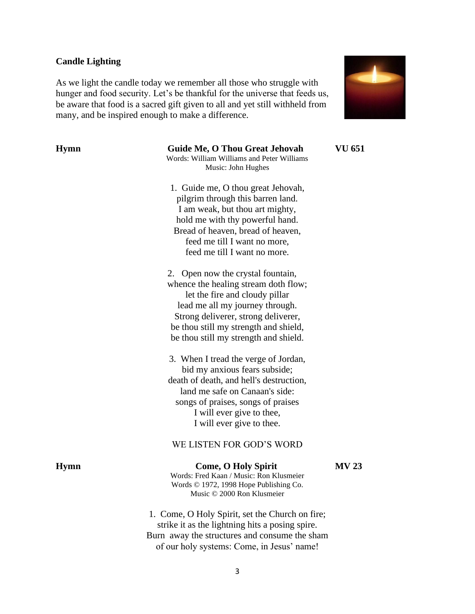### **Candle Lighting**

As we light the candle today we remember all those who struggle with hunger and food security. Let's be thankful for the universe that feeds us, be aware that food is a sacred gift given to all and yet still withheld from many, and be inspired enough to make a difference.



# **Hymn Guide Me, O Thou Great Jehovah VU 651**

Words: William Williams and Peter Williams Music: John Hughes

1. Guide me, O thou great Jehovah, pilgrim through this barren land. I am weak, but thou art mighty, hold me with thy powerful hand. Bread of heaven, bread of heaven, feed me till I want no more, feed me till I want no more.

2. Open now the crystal fountain, whence the healing stream doth flow; let the fire and cloudy pillar lead me all my journey through. Strong deliverer, strong deliverer, be thou still my strength and shield, be thou still my strength and shield.

3. When I tread the verge of Jordan, bid my anxious fears subside; death of death, and hell's destruction, land me safe on Canaan's side: songs of praises, songs of praises I will ever give to thee, I will ever give to thee.

#### WE LISTEN FOR GOD'S WORD

# **Hymn Come, O Holy Spirit MV 23**

Words: Fred Kaan / Music: Ron Klusmeier Words © 1972, 1998 Hope Publishing Co. Music © 2000 Ron Klusmeier

1. Come, O Holy Spirit, set the Church on fire; strike it as the lightning hits a posing spire. Burn away the structures and consume the sham of our holy systems: Come, in Jesus' name!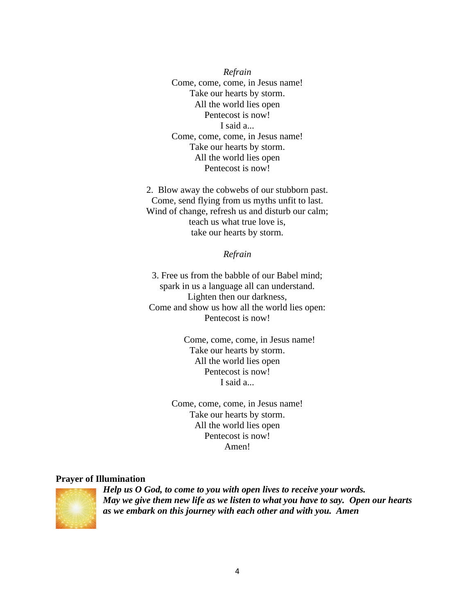*Refrain* Come, come, come, in Jesus name! Take our hearts by storm. All the world lies open Pentecost is now! I said a... Come, come, come, in Jesus name! Take our hearts by storm. All the world lies open Pentecost is now!

2. Blow away the cobwebs of our stubborn past. Come, send flying from us myths unfit to last. Wind of change, refresh us and disturb our calm; teach us what true love is, take our hearts by storm.

*Refrain*

3. Free us from the babble of our Babel mind; spark in us a language all can understand. Lighten then our darkness, Come and show us how all the world lies open: Pentecost is now!

> Come, come, come, in Jesus name! Take our hearts by storm. All the world lies open Pentecost is now! I said a...

Come, come, come, in Jesus name! Take our hearts by storm. All the world lies open Pentecost is now! Amen!

#### **Prayer of Illumination**



*Help us O God, to come to you with open lives to receive your words. May we give them new life as we listen to what you have to say. Open our hearts as we embark on this journey with each other and with you. Amen*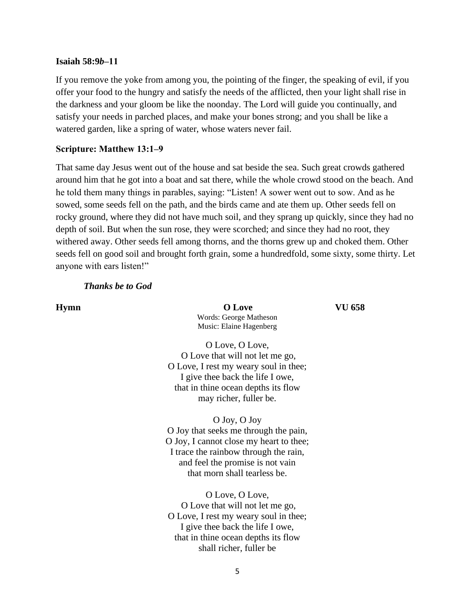### **Isaiah 58:9***b***‒11**

If you remove the yoke from among you, the pointing of the finger, the speaking of evil, if you offer your food to the hungry and satisfy the needs of the afflicted, then your light shall rise in the darkness and your gloom be like the noonday. The Lord will guide you continually, and satisfy your needs in parched places, and make your bones strong; and you shall be like a watered garden, like a spring of water, whose waters never fail.

### **Scripture: Matthew 13:1‒9**

That same day Jesus went out of the house and sat beside the sea. Such great crowds gathered around him that he got into a boat and sat there, while the whole crowd stood on the beach. And he told them many things in parables, saying: "Listen! A sower went out to sow. And as he sowed, some seeds fell on the path, and the birds came and ate them up. Other seeds fell on rocky ground, where they did not have much soil, and they sprang up quickly, since they had no depth of soil. But when the sun rose, they were scorched; and since they had no root, they withered away. Other seeds fell among thorns, and the thorns grew up and choked them. Other seeds fell on good soil and brought forth grain, some a hundredfold, some sixty, some thirty. Let anyone with ears listen!"

## *Thanks be to God*

**Hymn O Love VU 658** Words: George Matheson Music: Elaine Hagenberg

O Love, O Love, O Love that will not let me go, O Love, I rest my weary soul in thee; I give thee back the life I owe, that in thine ocean depths its flow may richer, fuller be.

O Joy, O Joy O Joy that seeks me through the pain, O Joy, I cannot close my heart to thee; I trace the rainbow through the rain, and feel the promise is not vain that morn shall tearless be.

O Love, O Love, O Love that will not let me go, O Love, I rest my weary soul in thee; I give thee back the life I owe, that in thine ocean depths its flow shall richer, fuller be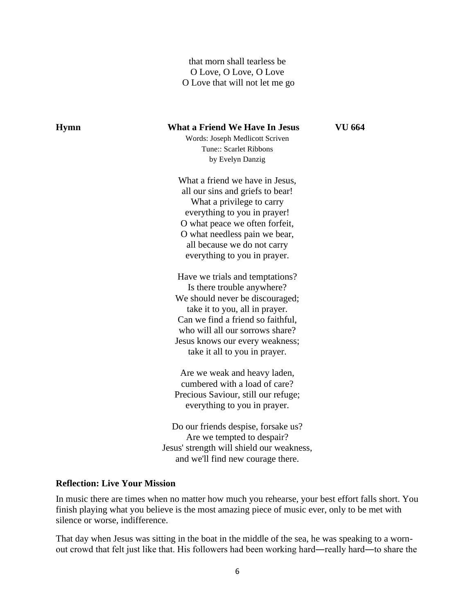that morn shall tearless be O Love, O Love, O Love O Love that will not let me go

**Hymn What a Friend We Have In Jesus VU 664** Words: Joseph Medlicott Scriven Tune:: Scarlet Ribbons by Evelyn Danzig What a friend we have in Jesus, all our sins and griefs to bear! What a privilege to carry everything to you in prayer! O what peace we often forfeit, O what needless pain we bear, all because we do not carry everything to you in prayer. Have we trials and temptations? Is there trouble anywhere? We should never be discouraged; take it to you, all in prayer. Can we find a friend so faithful, who will all our sorrows share? Jesus knows our every weakness; take it all to you in prayer. Are we weak and heavy laden, cumbered with a load of care? Precious Saviour, still our refuge; everything to you in prayer. Do our friends despise, forsake us? Are we tempted to despair? Jesus' strength will shield our weakness, and we'll find new courage there.

## **Reflection: Live Your Mission**

In music there are times when no matter how much you rehearse, your best effort falls short. You finish playing what you believe is the most amazing piece of music ever, only to be met with silence or worse, indifference.

That day when Jesus was sitting in the boat in the middle of the sea, he was speaking to a wornout crowd that felt just like that. His followers had been working hard—really hard—to share the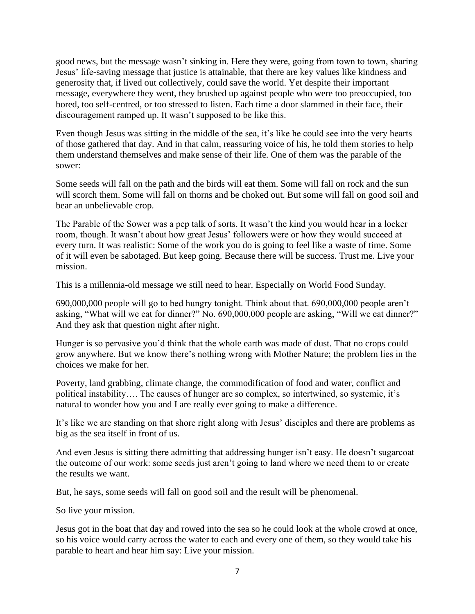good news, but the message wasn't sinking in. Here they were, going from town to town, sharing Jesus' life-saving message that justice is attainable, that there are key values like kindness and generosity that, if lived out collectively, could save the world. Yet despite their important message, everywhere they went, they brushed up against people who were too preoccupied, too bored, too self-centred, or too stressed to listen. Each time a door slammed in their face, their discouragement ramped up. It wasn't supposed to be like this.

Even though Jesus was sitting in the middle of the sea, it's like he could see into the very hearts of those gathered that day. And in that calm, reassuring voice of his, he told them stories to help them understand themselves and make sense of their life. One of them was the parable of the sower:

Some seeds will fall on the path and the birds will eat them. Some will fall on rock and the sun will scorch them. Some will fall on thorns and be choked out. But some will fall on good soil and bear an unbelievable crop.

The Parable of the Sower was a pep talk of sorts. It wasn't the kind you would hear in a locker room, though. It wasn't about how great Jesus' followers were or how they would succeed at every turn. It was realistic: Some of the work you do is going to feel like a waste of time. Some of it will even be sabotaged. But keep going. Because there will be success. Trust me. Live your mission.

This is a millennia-old message we still need to hear. Especially on World Food Sunday.

690,000,000 people will go to bed hungry tonight. Think about that. 690,000,000 people aren't asking, "What will we eat for dinner?" No. 690,000,000 people are asking, "Will we eat dinner?" And they ask that question night after night.

Hunger is so pervasive you'd think that the whole earth was made of dust. That no crops could grow anywhere. But we know there's nothing wrong with Mother Nature; the problem lies in the choices we make for her.

Poverty, land grabbing, climate change, the commodification of food and water, conflict and political instability…. The causes of hunger are so complex, so intertwined, so systemic, it's natural to wonder how you and I are really ever going to make a difference.

It's like we are standing on that shore right along with Jesus' disciples and there are problems as big as the sea itself in front of us.

And even Jesus is sitting there admitting that addressing hunger isn't easy. He doesn't sugarcoat the outcome of our work: some seeds just aren't going to land where we need them to or create the results we want.

But, he says, some seeds will fall on good soil and the result will be phenomenal.

So live your mission.

Jesus got in the boat that day and rowed into the sea so he could look at the whole crowd at once, so his voice would carry across the water to each and every one of them, so they would take his parable to heart and hear him say: Live your mission.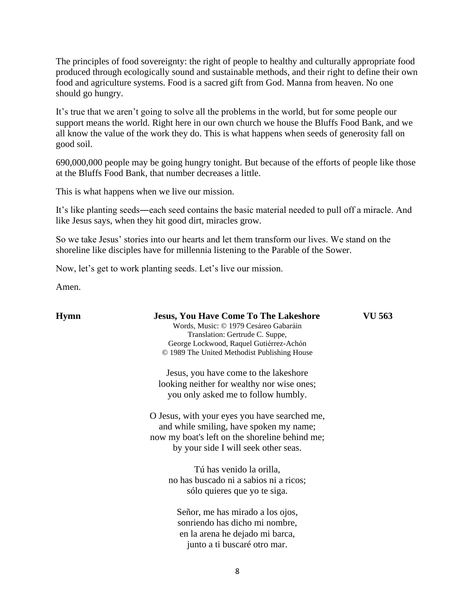The principles of food sovereignty: the right of people to healthy and culturally appropriate food produced through ecologically sound and sustainable methods, and their right to define their own food and agriculture systems. Food is a sacred gift from God. Manna from heaven. No one should go hungry.

It's true that we aren't going to solve all the problems in the world, but for some people our support means the world. Right here in our own church we house the Bluffs Food Bank, and we all know the value of the work they do. This is what happens when seeds of generosity fall on good soil.

690,000,000 people may be going hungry tonight. But because of the efforts of people like those at the Bluffs Food Bank, that number decreases a little.

This is what happens when we live our mission.

It's like planting seeds―each seed contains the basic material needed to pull off a miracle. And like Jesus says, when they hit good dirt, miracles grow.

So we take Jesus' stories into our hearts and let them transform our lives. We stand on the shoreline like disciples have for millennia listening to the Parable of the Sower.

Now, let's get to work planting seeds. Let's live our mission.

Amen.

| Hymn | <b>Jesus, You Have Come To The Lakeshore</b><br>Words, Music: © 1979 Cesáreo Gabaráin<br>Translation: Gertrude C. Suppe,<br>George Lockwood, Raquel Gutiérrez-Achón<br>© 1989 The United Methodist Publishing House | VU 563 |
|------|---------------------------------------------------------------------------------------------------------------------------------------------------------------------------------------------------------------------|--------|
|      | Jesus, you have come to the lakeshore<br>looking neither for wealthy nor wise ones;<br>you only asked me to follow humbly.                                                                                          |        |
|      | O Jesus, with your eyes you have searched me,<br>and while smiling, have spoken my name;<br>now my boat's left on the shoreline behind me;<br>by your side I will seek other seas.                                  |        |
|      | Tú has venido la orilla,<br>no has buscado ni a sabios ni a ricos;<br>sólo quieres que yo te siga.                                                                                                                  |        |
|      | Señor, me has mirado a los ojos,<br>sonriendo has dicho mi nombre,<br>en la arena he dejado mi barca,<br>junto a ti buscaré otro mar.                                                                               |        |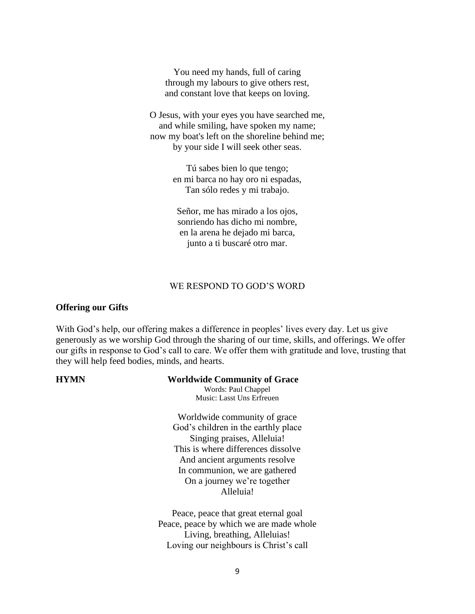You need my hands, full of caring through my labours to give others rest, and constant love that keeps on loving.

O Jesus, with your eyes you have searched me, and while smiling, have spoken my name; now my boat's left on the shoreline behind me; by your side I will seek other seas.

> Tú sabes bien lo que tengo; en mi barca no hay oro ni espadas, Tan sólo redes y mi trabajo.

Señor, me has mirado a los ojos, sonriendo has dicho mi nombre, en la arena he dejado mi barca, junto a ti buscaré otro mar.

### WE RESPOND TO GOD'S WORD

### **Offering our Gifts**

With God's help, our offering makes a difference in peoples' lives every day. Let us give generously as we worship God through the sharing of our time, skills, and offerings. We offer our gifts in response to God's call to care. We offer them with gratitude and love, trusting that they will help feed bodies, minds, and hearts.

## **HYMN Worldwide Community of Grace**

Words: Paul Chappel Music: Lasst Uns Erfreuen

Worldwide community of grace God's children in the earthly place Singing praises, Alleluia! This is where differences dissolve And ancient arguments resolve In communion, we are gathered On a journey we're together Alleluia!

Peace, peace that great eternal goal Peace, peace by which we are made whole Living, breathing, Alleluias! Loving our neighbours is Christ's call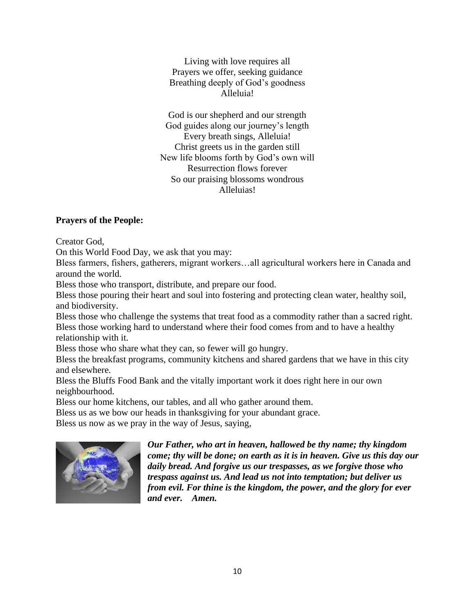Living with love requires all Prayers we offer, seeking guidance Breathing deeply of God's goodness Alleluia!

God is our shepherd and our strength God guides along our journey's length Every breath sings, Alleluia! Christ greets us in the garden still New life blooms forth by God's own will Resurrection flows forever So our praising blossoms wondrous Alleluias!

# **Prayers of the People:**

Creator God,

On this World Food Day, we ask that you may:

Bless farmers, fishers, gatherers, migrant workers…all agricultural workers here in Canada and around the world.

Bless those who transport, distribute, and prepare our food.

Bless those pouring their heart and soul into fostering and protecting clean water, healthy soil, and biodiversity.

Bless those who challenge the systems that treat food as a commodity rather than a sacred right. Bless those working hard to understand where their food comes from and to have a healthy relationship with it.

Bless those who share what they can, so fewer will go hungry.

Bless the breakfast programs, community kitchens and shared gardens that we have in this city and elsewhere.

Bless the Bluffs Food Bank and the vitally important work it does right here in our own neighbourhood.

Bless our home kitchens, our tables, and all who gather around them.

Bless us as we bow our heads in thanksgiving for your abundant grace.

Bless us now as we pray in the way of Jesus, saying,



*Our Father, who art in heaven, hallowed be thy name; thy kingdom come; thy will be done; on earth as it is in heaven. Give us this day our daily bread. And forgive us our trespasses, as we forgive those who trespass against us. And lead us not into temptation; but deliver us from evil. For thine is the kingdom, the power, and the glory for ever and ever. Amen.*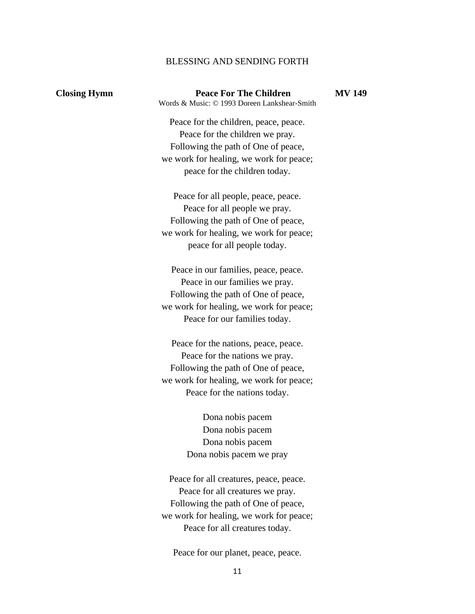## BLESSING AND SENDING FORTH

**Closing Hymn Peace For The Children MV 149** Words & Music: © 1993 Doreen Lankshear-Smith

Peace for the children, peace, peace. Peace for the children we pray. Following the path of One of peace, we work for healing, we work for peace; peace for the children today.

Peace for all people, peace, peace. Peace for all people we pray. Following the path of One of peace, we work for healing, we work for peace; peace for all people today.

Peace in our families, peace, peace. Peace in our families we pray. Following the path of One of peace, we work for healing, we work for peace; Peace for our families today.

Peace for the nations, peace, peace. Peace for the nations we pray. Following the path of One of peace, we work for healing, we work for peace; Peace for the nations today.

> Dona nobis pacem Dona nobis pacem Dona nobis pacem Dona nobis pacem we pray

Peace for all creatures, peace, peace. Peace for all creatures we pray. Following the path of One of peace, we work for healing, we work for peace; Peace for all creatures today.

Peace for our planet, peace, peace.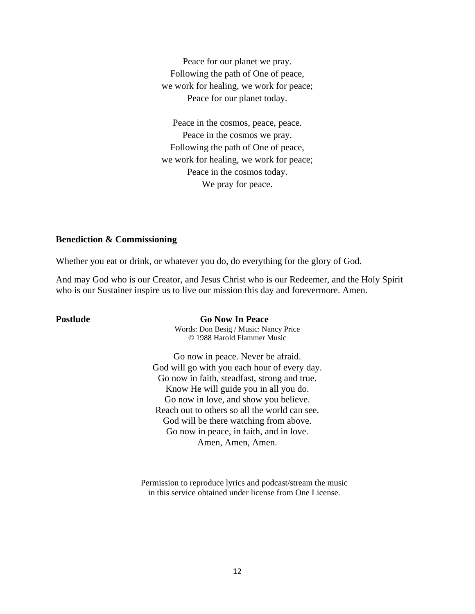Peace for our planet we pray. Following the path of One of peace, we work for healing, we work for peace; Peace for our planet today.

Peace in the cosmos, peace, peace. Peace in the cosmos we pray. Following the path of One of peace, we work for healing, we work for peace; Peace in the cosmos today. We pray for peace.

## **Benediction & Commissioning**

Whether you eat or drink, or whatever you do, do everything for the glory of God.

And may God who is our Creator, and Jesus Christ who is our Redeemer, and the Holy Spirit who is our Sustainer inspire us to live our mission this day and forevermore. Amen.

**Postlude Go Now In Peace** 

Words: Don Besig / Music: Nancy Price © 1988 Harold Flammer Music

Go now in peace. Never be afraid. God will go with you each hour of every day. Go now in faith, steadfast, strong and true. Know He will guide you in all you do. Go now in love, and show you believe. Reach out to others so all the world can see. God will be there watching from above. Go now in peace, in faith, and in love. Amen, Amen, Amen.

Permission to reproduce lyrics and podcast/stream the music in this service obtained under license from One License.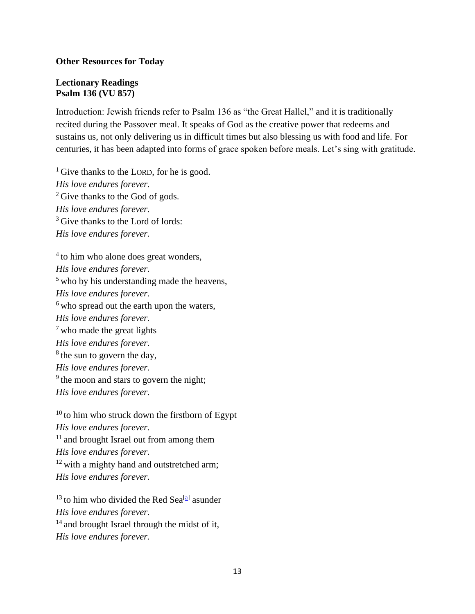# **Other Resources for Today**

# **Lectionary Readings Psalm 136 (VU 857)**

Introduction: Jewish friends refer to Psalm 136 as "the Great Hallel," and it is traditionally recited during the Passover meal. It speaks of God as the creative power that redeems and sustains us, not only delivering us in difficult times but also blessing us with food and life. For centuries, it has been adapted into forms of grace spoken before meals. Let's sing with gratitude.

 $<sup>1</sup>$  Give thanks to the LORD, for he is good.</sup> *His love endures forever.* <sup>2</sup> Give thanks to the God of gods. *His love endures forever.*  $3$  Give thanks to the Lord of lords: *His love endures forever.*

 $4$  to him who alone does great wonders, *His love endures forever.* <sup>5</sup> who by his understanding made the heavens, *His love endures forever.*  $<sup>6</sup>$  who spread out the earth upon the waters,</sup> *His love endures forever.*  $<sup>7</sup>$  who made the great lights—</sup> *His love endures forever.* <sup>8</sup> the sun to govern the day, *His love endures forever.* <sup>9</sup> the moon and stars to govern the night; *His love endures forever.*

 $10$  to him who struck down the firstborn of Egypt *His love endures forever.* <sup>11</sup> and brought Israel out from among them *His love endures forever.* <sup>12</sup> with a mighty hand and outstretched arm; *His love endures forever.*

 $13$  to him who divided the Red Sea<sup>[\[a\]](https://www.biblegateway.com/passage/?search=Psalm+136&version=NIV#fen-NIV-16210a)</sup> asunder *His love endures forever.* <sup>14</sup> and brought Israel through the midst of it, *His love endures forever.*